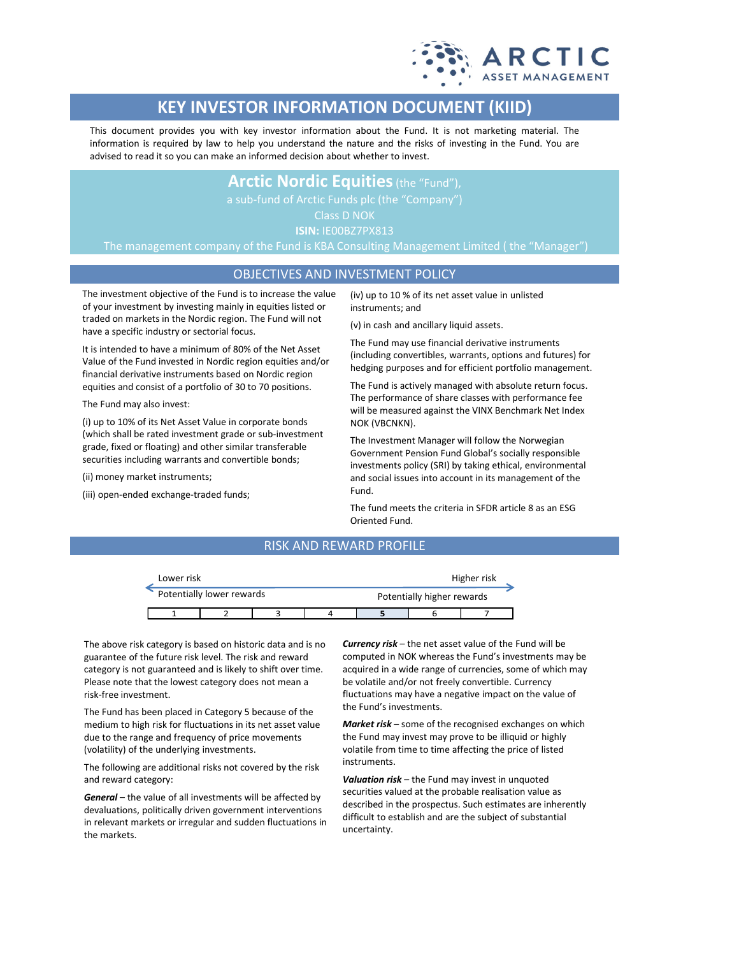

# **KEY INVESTOR INFORMATION DOCUMENT (KIID)**

This document provides you with key investor information about the Fund. It is not marketing material. The information is required by law to help you understand the nature and the risks of investing in the Fund. You are advised to read it so you can make an informed decision about whether to invest.

## **Arctic Nordic Equities**(the "Fund"),

Class D NOK

**ISIN:** IE00BZ7PX813

The management company of the Fund is KBA Consulting Management Limited ( the "Manager")

## OBJECTIVES AND INVESTMENT POLICY

The investment objective of the Fund is to increase the value of your investment by investing mainly in equities listed or traded on markets in the Nordic region. The Fund will not have a specific industry or sectorial focus.

It is intended to have a minimum of 80% of the Net Asset Value of the Fund invested in Nordic region equities and/or financial derivative instruments based on Nordic region equities and consist of a portfolio of 30 to 70 positions.

The Fund may also invest:

(i) up to 10% of its Net Asset Value in corporate bonds (which shall be rated investment grade or sub-investment grade, fixed or floating) and other similar transferable securities including warrants and convertible bonds;

(ii) money market instruments;

(iii) open-ended exchange-traded funds;

(iv) up to 10 % of its net asset value in unlisted instruments; and

(v) in cash and ancillary liquid assets.

The Fund may use financial derivative instruments (including convertibles, warrants, options and futures) for hedging purposes and for efficient portfolio management.

The Fund is actively managed with absolute return focus. The performance of share classes with performance fee will be measured against the VINX Benchmark Net Index NOK (VBCNKN).

The Investment Manager will follow the Norwegian Government Pension Fund Global's socially responsible investments policy (SRI) by taking ethical, environmental and social issues into account in its management of the Fund.

The fund meets the criteria in SFDR article 8 as an ESG Oriented Fund.

### RISK AND REWARD PROFILE

| Lower risk |                           |  | Higher risk |                            |  |  |  |
|------------|---------------------------|--|-------------|----------------------------|--|--|--|
|            | Potentially lower rewards |  |             | Potentially higher rewards |  |  |  |
|            |                           |  |             |                            |  |  |  |

The above risk category is based on historic data and is no guarantee of the future risk level. The risk and reward category is not guaranteed and is likely to shift over time. Please note that the lowest category does not mean a risk-free investment.

The Fund has been placed in Category 5 because of the medium to high risk for fluctuations in its net asset value due to the range and frequency of price movements (volatility) of the underlying investments.

The following are additional risks not covered by the risk and reward category:

*General* – the value of all investments will be affected by devaluations, politically driven government interventions in relevant markets or irregular and sudden fluctuations in the markets.

*Currency risk* – the net asset value of the Fund will be computed in NOK whereas the Fund's investments may be acquired in a wide range of currencies, some of which may be volatile and/or not freely convertible. Currency fluctuations may have a negative impact on the value of the Fund's investments.

*Market risk* – some of the recognised exchanges on which the Fund may invest may prove to be illiquid or highly volatile from time to time affecting the price of listed instruments.

*Valuation risk* – the Fund may invest in unquoted securities valued at the probable realisation value as described in the prospectus. Such estimates are inherently difficult to establish and are the subject of substantial uncertainty.